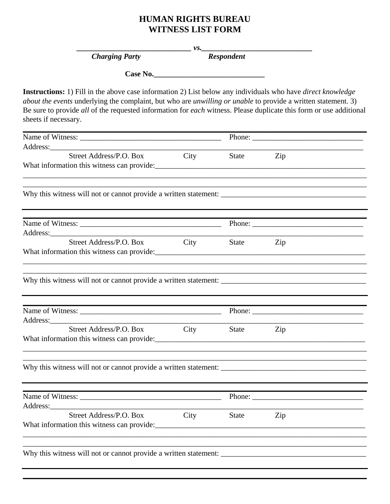## **HUMAN RIGHTS BUREAU WITNESS LIST FORM**

 $V.S.$ 

**Charging Party** 

**Respondent** 

Case No.

Instructions: 1) Fill in the above case information 2) List below any individuals who have direct knowledge about the events underlying the complaint, but who are *unwilling or unable* to provide a written statement. 3) Be sure to provide all of the requested information for each witness. Please duplicate this form or use additional sheets if necessary.

| Street Address/P.O. Box                                                                                                | City | State        | Zip                                                                                                                                                                                                                                                                                                                                                                                                          |  |
|------------------------------------------------------------------------------------------------------------------------|------|--------------|--------------------------------------------------------------------------------------------------------------------------------------------------------------------------------------------------------------------------------------------------------------------------------------------------------------------------------------------------------------------------------------------------------------|--|
| What information this witness can provide:                                                                             |      |              |                                                                                                                                                                                                                                                                                                                                                                                                              |  |
|                                                                                                                        |      |              |                                                                                                                                                                                                                                                                                                                                                                                                              |  |
| <u> 1989 - Johann John Stone, market fan it ferskearre fan it ferskearre fan it ferskearre fan it ferskearre fan i</u> |      |              |                                                                                                                                                                                                                                                                                                                                                                                                              |  |
|                                                                                                                        |      |              | Phone: $\frac{1}{\sqrt{1-\frac{1}{2}}\sqrt{1-\frac{1}{2}}\sqrt{1-\frac{1}{2}}\sqrt{1-\frac{1}{2}}\sqrt{1-\frac{1}{2}}\sqrt{1-\frac{1}{2}}\sqrt{1-\frac{1}{2}}\sqrt{1-\frac{1}{2}}\sqrt{1-\frac{1}{2}}\sqrt{1-\frac{1}{2}}\sqrt{1-\frac{1}{2}}\sqrt{1-\frac{1}{2}}\sqrt{1-\frac{1}{2}}\sqrt{1-\frac{1}{2}}\sqrt{1-\frac{1}{2}}\sqrt{1-\frac{1}{2}}\sqrt{1-\frac{1}{2}}\sqrt{1-\frac{1}{2}}\sqrt{1-\frac{1}{2$ |  |
| Street Address/P.O. Box<br>What information this witness can provide:                                                  | City | <b>State</b> | Zip                                                                                                                                                                                                                                                                                                                                                                                                          |  |
|                                                                                                                        |      |              |                                                                                                                                                                                                                                                                                                                                                                                                              |  |
|                                                                                                                        |      |              |                                                                                                                                                                                                                                                                                                                                                                                                              |  |
|                                                                                                                        |      |              |                                                                                                                                                                                                                                                                                                                                                                                                              |  |
| Street Address/P.O. Box                                                                                                | City | <b>State</b> | Zip                                                                                                                                                                                                                                                                                                                                                                                                          |  |
|                                                                                                                        |      |              |                                                                                                                                                                                                                                                                                                                                                                                                              |  |
|                                                                                                                        |      |              |                                                                                                                                                                                                                                                                                                                                                                                                              |  |
|                                                                                                                        |      |              |                                                                                                                                                                                                                                                                                                                                                                                                              |  |
| Street Address/P.O. Box<br>What information this witness can provide:                                                  | City | <b>State</b> | Zip                                                                                                                                                                                                                                                                                                                                                                                                          |  |
|                                                                                                                        |      |              |                                                                                                                                                                                                                                                                                                                                                                                                              |  |
|                                                                                                                        |      |              |                                                                                                                                                                                                                                                                                                                                                                                                              |  |